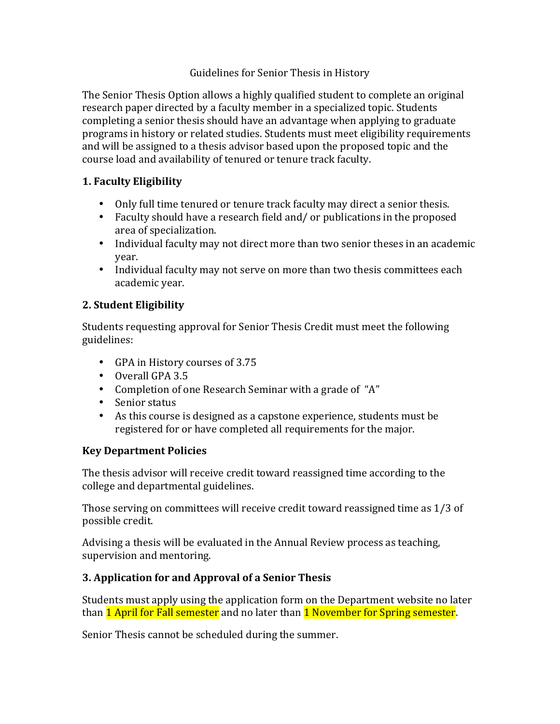#### Guidelines for Senior Thesis in History

The Senior Thesis Option allows a highly qualified student to complete an original research paper directed by a faculty member in a specialized topic. Students completing a senior thesis should have an advantage when applying to graduate programs in history or related studies. Students must meet eligibility requirements and will be assigned to a thesis advisor based upon the proposed topic and the course load and availability of tenured or tenure track faculty.

### **1. Faculty Eligibility**

- Only full time tenured or tenure track faculty may direct a senior thesis.
- Faculty should have a research field and / or publications in the proposed area of specialization.
- Individual faculty may not direct more than two senior theses in an academic year.
- Individual faculty may not serve on more than two thesis committees each academic year.

### **2. Student Eligibility**

Students requesting approval for Senior Thesis Credit must meet the following guidelines:

- GPA in History courses of 3.75
- Overall GPA 3.5
- Completion of one Research Seminar with a grade of "A"
- Senior status
- As this course is designed as a capstone experience, students must be registered for or have completed all requirements for the major.

### **Key Department Policies**

The thesis advisor will receive credit toward reassigned time according to the college and departmental guidelines.

Those serving on committees will receive credit toward reassigned time as  $1/3$  of possible credit.

Advising a thesis will be evaluated in the Annual Review process as teaching, supervision and mentoring.

### **3. Application for and Approval of a Senior Thesis**

Students must apply using the application form on the Department website no later than 1 April for Fall semester and no later than 1 November for Spring semester.

Senior Thesis cannot be scheduled during the summer.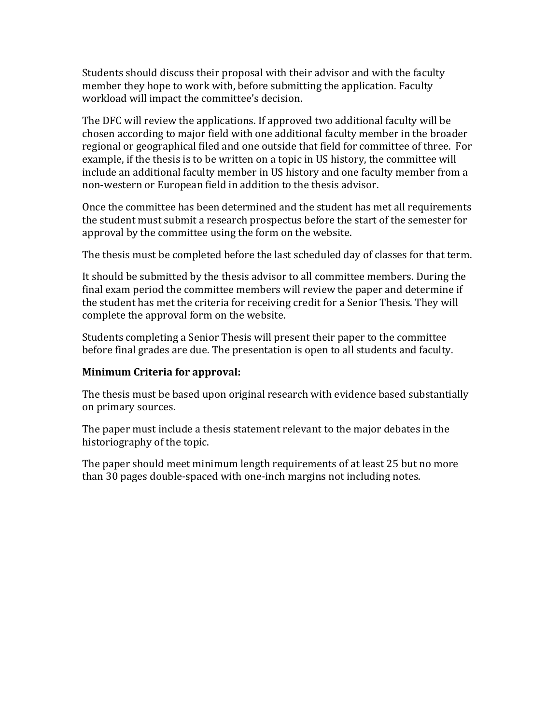Students should discuss their proposal with their advisor and with the faculty member they hope to work with, before submitting the application. Faculty workload will impact the committee's decision.

The DFC will review the applications. If approved two additional faculty will be chosen according to major field with one additional faculty member in the broader regional or geographical filed and one outside that field for committee of three. For example, if the thesis is to be written on a topic in US history, the committee will include an additional faculty member in US history and one faculty member from a non-western or European field in addition to the thesis advisor.

Once the committee has been determined and the student has met all requirements the student must submit a research prospectus before the start of the semester for approval by the committee using the form on the website.

The thesis must be completed before the last scheduled day of classes for that term.

It should be submitted by the thesis advisor to all committee members. During the final exam period the committee members will review the paper and determine if the student has met the criteria for receiving credit for a Senior Thesis. They will complete the approval form on the website.

Students completing a Senior Thesis will present their paper to the committee before final grades are due. The presentation is open to all students and faculty.

#### **Minimum Criteria for approval:**

The thesis must be based upon original research with evidence based substantially on primary sources.

The paper must include a thesis statement relevant to the major debates in the historiography of the topic.

The paper should meet minimum length requirements of at least 25 but no more than 30 pages double-spaced with one-inch margins not including notes.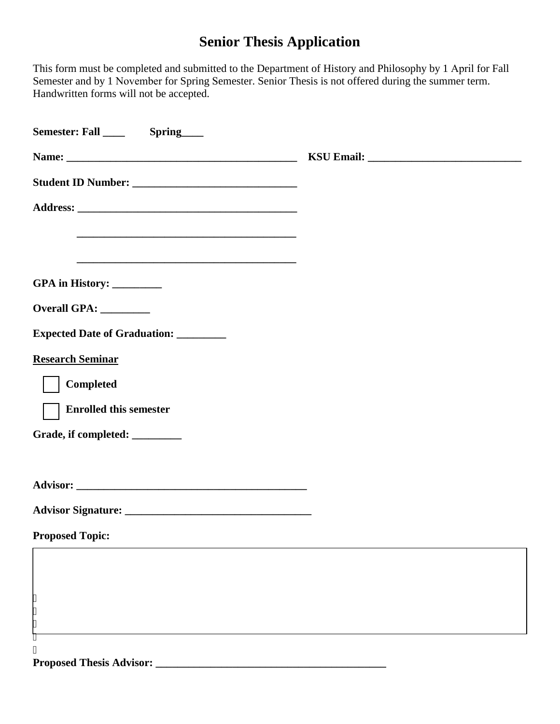## **Senior Thesis Application**

This form must be completed and submitted to the Department of History and Philosophy by 1 April for Fall Semester and by 1 November for Spring Semester. Senior Thesis is not offered during the summer term. Handwritten forms will not be accepted.

| <u> 1989 - Johann Stoff, amerikansk politiker (d. 1989)</u>                                                           |  |
|-----------------------------------------------------------------------------------------------------------------------|--|
| <u> 1989 - Johann Stoff, deutscher Stoff, der Stoff, der Stoff, der Stoff, der Stoff, der Stoff, der Stoff, der S</u> |  |
| GPA in History: ________                                                                                              |  |
| Overall GPA: ________                                                                                                 |  |
| <b>Expected Date of Graduation:</b>                                                                                   |  |
| <b>Research Seminar</b>                                                                                               |  |
| <b>Completed</b>                                                                                                      |  |
| <b>Enrolled this semester</b>                                                                                         |  |
| Grade, if completed: ________                                                                                         |  |
|                                                                                                                       |  |
|                                                                                                                       |  |
|                                                                                                                       |  |
| <b>Proposed Topic:</b>                                                                                                |  |
|                                                                                                                       |  |
|                                                                                                                       |  |
| l۱۱<br>ı٠                                                                                                             |  |
| $\pmb{\mathsf{m}}$                                                                                                    |  |
| <b>Proposed Thesis Advisor:</b>                                                                                       |  |